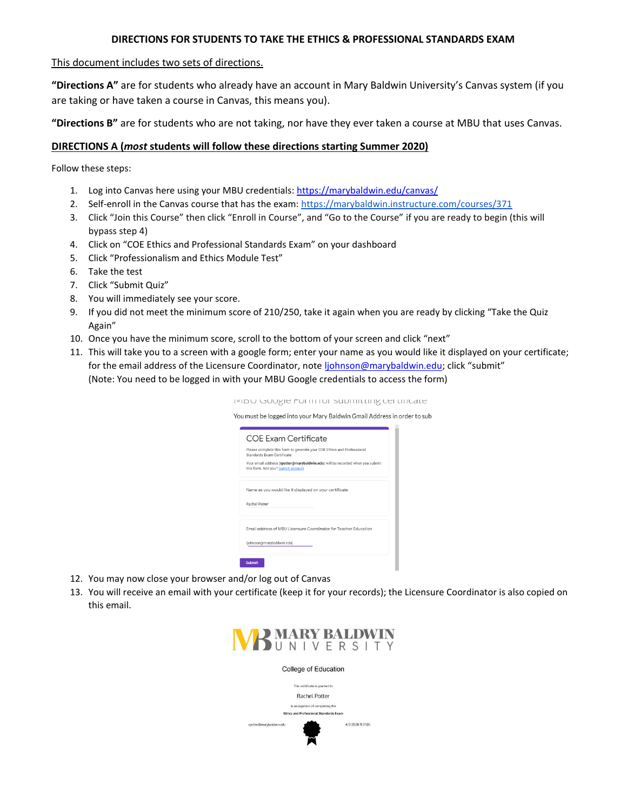## **DIRECTIONS FOR STUDENTS TO TAKE THE ETHICS & PROFESSIONAL STANDARDS EXAM**

## This document includes two sets of directions.

**"Directions A"** are for students who already have an account in Mary Baldwin University's Canvas system (if you are taking or have taken a course in Canvas, this means you).

**"Directions B"** are for students who are not taking, nor have they ever taken a course at MBU that uses Canvas.

## **DIRECTIONS A (***most* **students will follow these directions starting Summer 2020)**

Follow these steps:

- 1. Log into Canvas here using your MBU credentials:<https://marybaldwin.edu/canvas/>
- 2. Self-enroll in the Canvas course that has the exam:<https://marybaldwin.instructure.com/courses/371>
- 3. Click "Join this Course" then click "Enroll in Course", and "Go to the Course" if you are ready to begin (this will bypass step 4)
- 4. Click on "COE Ethics and Professional Standards Exam" on your dashboard
- 5. Click "Professionalism and Ethics Module Test"
- 6. Take the test
- 7. Click "Submit Quiz"
- 8. You will immediately see your score.
- 9. If you did not meet the minimum score of 210/250, take it again when you are ready by clicking "Take the Quiz Again"
- 10. Once you have the minimum score, scroll to the bottom of your screen and click "next"
- 11. This will take you to a screen with a google form; enter your name as you would like it displayed on your certificate; for the email address of the Licensure Coordinator, note [ljohnson@marybaldwin.edu](mailto:ljohnson@marybaldwin.edu); click "submit" (Note: You need to be logged in with your MBU Google credentials to access the form)

IVIDU GUUSIE FUITITIUI SUDITIILIIIIS CEI LIIICALE

You must be logged into your Mary Baldwin Gmail Address in order to sub

| <b>COE Exam Certificate</b>                                                                                         |
|---------------------------------------------------------------------------------------------------------------------|
| Please complete this form to generate your COE Ethics and Professional<br>Standards Exam Certificate                |
| Your email address (rpotter@marybaldwin.edu) will be recorded when you submit<br>this form. Not you? Switch account |
| Name as you would like it displayed on your certificate                                                             |
| Rachel Potter                                                                                                       |
| Email address of MBU Licensure Coordinator for Teacher Education                                                    |
| ljohnson@marybaldwin.edu                                                                                            |
| Submit                                                                                                              |

- 12. You may now close your browser and/or log out of Canvas
- 13. You will receive an email with your certificate (keep it for your records); the Licensure Coordinator is also copied on this email.

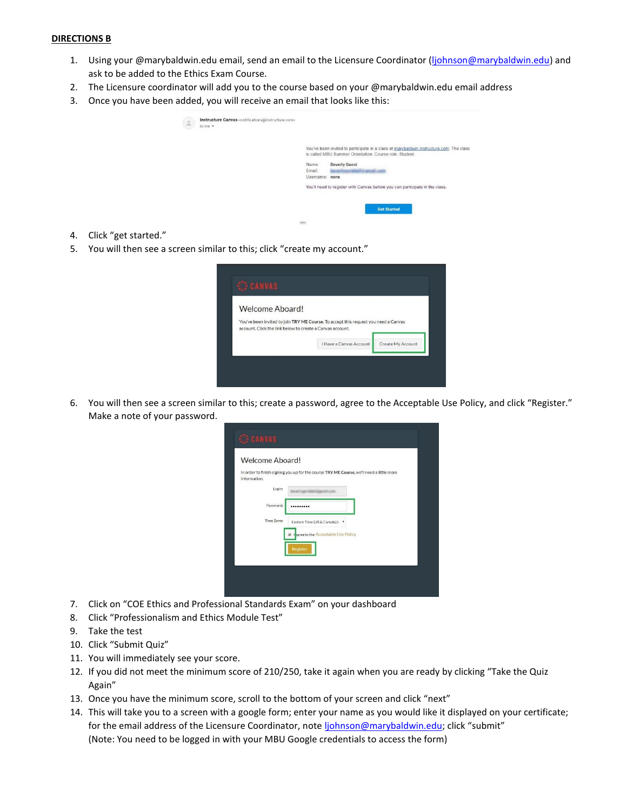## **DIRECTIONS B**

- 1. Using your @marybaldwin.edu email, send an email to the Licensure Coordinator [\(ljohnson@marybaldwin.edu\)](mailto:ljohnson@marybaldwin.edu) and ask to be added to the Ethics Exam Course.
- 2. The Licensure coordinator will add you to the course based on your @marybaldwin.edu email address
- 3. Once you have been added, you will receive an email that looks like this:

| $\stackrel{\circ}{\neg}$ | Instructure Canvas <notifications@instructure.com><br/>to me <math>\tau</math></notifications@instructure.com> |                 |                                                                                                                                                                                         |
|--------------------------|----------------------------------------------------------------------------------------------------------------|-----------------|-----------------------------------------------------------------------------------------------------------------------------------------------------------------------------------------|
|                          |                                                                                                                | Name:<br>Email: | You've been invited to participate in a class at marybaldwin instructure com. The class<br>is called MBU Summer Orientation. Course role: Student<br><b>Beverly Guest</b><br>worked and |
|                          |                                                                                                                | Username: none  |                                                                                                                                                                                         |
|                          |                                                                                                                |                 | You'll need to register with Canvas before you can participate in the class.                                                                                                            |
|                          |                                                                                                                |                 | <b>Get Started</b>                                                                                                                                                                      |
|                          |                                                                                                                | 888             |                                                                                                                                                                                         |

- 4. Click "get started."
- 5. You will then see a screen similar to this; click "create my account."

| Welcome Aboard!                                           |                                                                                     |                   |
|-----------------------------------------------------------|-------------------------------------------------------------------------------------|-------------------|
| account. Click the link below to create a Canyas account. | You've been invited to join TRY ME Course. To accept this request you need a Canvas |                   |
|                                                           | I Have a Canyas Account                                                             | Create My Account |

6. You will then see a screen similar to this; create a password, agree to the Acceptable Use Policy, and click "Register." Make a note of your password.

| Eastern Time (US & Canada) ( "<br>I sgree to the Acceptable Use Policy |
|------------------------------------------------------------------------|

- 7. Click on "COE Ethics and Professional Standards Exam" on your dashboard
- 8. Click "Professionalism and Ethics Module Test"
- 9. Take the test
- 10. Click "Submit Quiz"
- 11. You will immediately see your score.
- 12. If you did not meet the minimum score of 210/250, take it again when you are ready by clicking "Take the Quiz Again"
- 13. Once you have the minimum score, scroll to the bottom of your screen and click "next"
- 14. This will take you to a screen with a google form; enter your name as you would like it displayed on your certificate; for the email address of the Licensure Coordinator, note *liohnson@marybaldwin.edu*; click "submit" (Note: You need to be logged in with your MBU Google credentials to access the form)